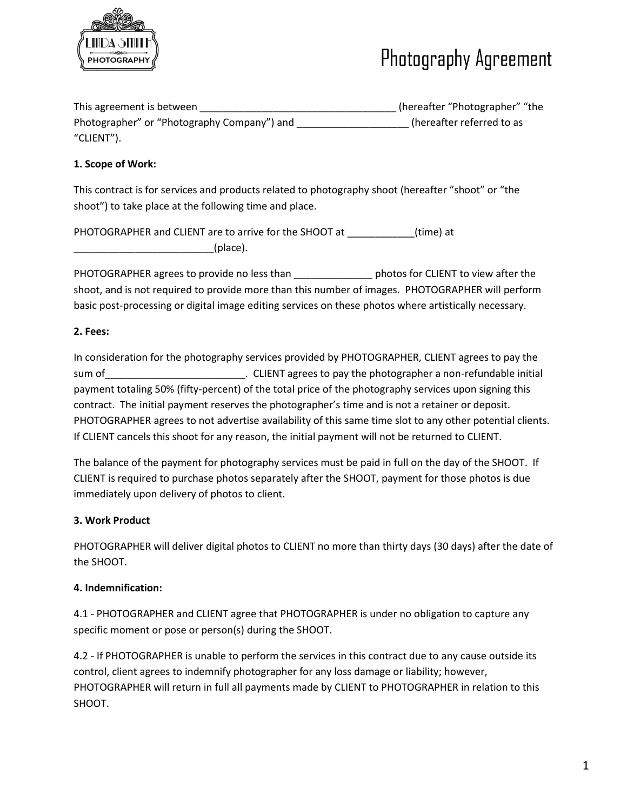

## Photography Agreement

| This agreement is between                   | (hereafter "Photographer" "the |
|---------------------------------------------|--------------------------------|
| Photographer" or "Photography Company") and | (hereafter referred to as      |
| "CLIENT").                                  |                                |

### **1. Scope of Work:**

This contract is for services and products related to photography shoot (hereafter "shoot" or "the shoot") to take place at the following time and place.

PHOTOGRAPHER and CLIENT are to arrive for the SHOOT at \_\_\_\_\_\_\_\_\_\_\_\_(time) at  $_{\perp}$ (place).

PHOTOGRAPHER agrees to provide no less than \_\_\_\_\_\_\_\_\_\_\_\_\_\_\_\_ photos for CLIENT to view after the shoot, and is not required to provide more than this number of images. PHOTOGRAPHER will perform basic post-processing or digital image editing services on these photos where artistically necessary.

### **2. Fees:**

In consideration for the photography services provided by PHOTOGRAPHER, CLIENT agrees to pay the sum of \_\_\_\_\_\_\_\_\_\_\_\_\_\_\_\_\_\_\_\_\_\_\_\_\_\_\_\_. CLIENT agrees to pay the photographer a non-refundable initial payment totaling 50% (fifty-percent) of the total price of the photography services upon signing this contract. The initial payment reserves the photographer's time and is not a retainer or deposit. PHOTOGRAPHER agrees to not advertise availability of this same time slot to any other potential clients. If CLIENT cancels this shoot for any reason, the initial payment will not be returned to CLIENT.

The balance of the payment for photography services must be paid in full on the day of the SHOOT. If CLIENT is required to purchase photos separately after the SHOOT, payment for those photos is due immediately upon delivery of photos to client.

### **3. Work Product**

PHOTOGRAPHER will deliver digital photos to CLIENT no more than thirty days (30 days) after the date of the SHOOT.

### **4. Indemnification:**

4.1 - PHOTOGRAPHER and CLIENT agree that PHOTOGRAPHER is under no obligation to capture any specific moment or pose or person(s) during the SHOOT.

4.2 - If PHOTOGRAPHER is unable to perform the services in this contract due to any cause outside its control, client agrees to indemnify photographer for any loss damage or liability; however, PHOTOGRAPHER will return in full all payments made by CLIENT to PHOTOGRAPHER in relation to this SHOOT.